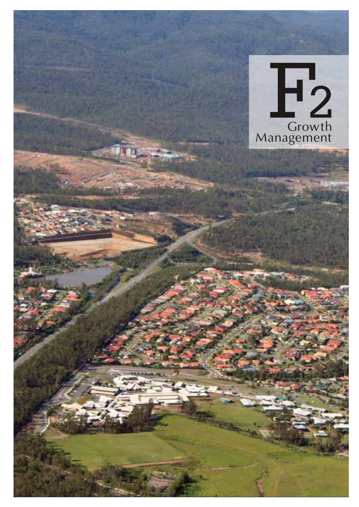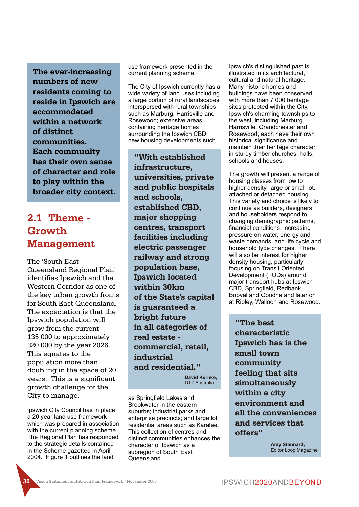**The ever-increasing numbers of new residents coming to reside in Ipswich are accommodated within a network of distinct communities. Each community has their own sense of character and role to play within the broader city context.**

# **2.1 Theme - Growth Management**

The 'South East Queensland Regional Plan' identifies Ipswich and the Western Corridor as one of the key urban growth fronts for South East Queensland. The expectation is that the Ipswich population will grow from the current 135 000 to approximately 320 000 by the year 2026. This equates to the population more than doubling in the space of 20 years. This is a significant growth challenge for the City to manage.

Ipswich City Council has in place a 20 year land use framework which was prepared in association with the current planning scheme. The Regional Plan has responded to the strategic details contained in the Scheme gazetted in April 2004. Figure 1 outlines the land

use framework presented in the current planning scheme.

The City of Ipswich currently has a wide variety of land uses including a large portion of rural landscapes interspersed with rural townships such as Marburg, Harrisville and Rosewood; extensive areas containing heritage homes surrounding the Ipswich CBD; new housing developments such

**"With established infrastructure, universities, private and public hospitals and schools, established CBD, major shopping centres, transport facilities including electric passenger railway and strong population base, Ipswich located within 30km of the State's capital is guaranteed a bright future in all categories of real estate commercial, retail, industrial and residential."**

> **David Kernke,** DTZ Australia

as Springfield Lakes and Brookwater in the eastern suburbs; industrial parks and enterprise precincts; and large lot residential areas such as Karalee. This collection of centres and distinct communities enhances the character of Ipswich as a subregion of South East Queensland.

Ipswich's distinguished past is illustrated in its architectural, cultural and natural heritage. Many historic homes and buildings have been conserved, with more than 7 000 heritage sites protected within the City. Ipswich's charming townships to the west, including Marburg, Harrisville, Grandchester and Rosewood, each have their own historical significance and maintain their heritage character in sturdy timber churches, halls, schools and houses.

The growth will present a range of housing classes from low to higher density, large or small lot, attached or detached housing. This variety and choice is likely to continue as builders, designers and householders respond to changing demographic patterns, financial conditions, increasing pressure on water, energy and waste demands, and life cycle and household type changes. There will also be interest for higher density housing, particularly focusing on Transit Oriented Development (TODs) around major transport hubs at Ipswich CBD, Springfield, Redbank, Booval and Goodna and later on at Ripley, Walloon and Rosewood.

**"The best characteristic Ipswich has is the small town community feeling that sits simultaneously within a city environment and all the conveniences and services that offers"**

> **Amy Stannard,** Editor Loop Magazine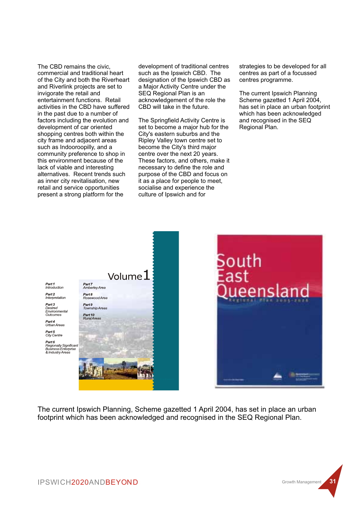The CBD remains the civic, commercial and traditional heart of the City and both the Riverheart and Riverlink projects are set to invigorate the retail and entertainment functions. Retail activities in the CBD have suffered in the past due to a number of factors including the evolution and development of car oriented shopping centres both within the city frame and adjacent areas such as Indooroopilly, and a community preference to shop in this environment because of the lack of viable and interesting alternatives. Recent trends such as inner city revitalisation, new retail and service opportunities present a strong platform for the

development of traditional centres such as the Ipswich CBD. The designation of the Ipswich CBD as a Major Activity Centre under the SEQ Regional Plan is an acknowledgement of the role the CBD will take in the future.

The Springfield Activity Centre is set to become a major hub for the City's eastern suburbs and the Ripley Valley town centre set to become the City's third major centre over the next 20 years. These factors, and others, make it necessary to define the role and purpose of the CBD and focus on it as a place for people to meet, socialise and experience the culture of Ipswich and for

strategies to be developed for all centres as part of a focussed centres programme.

The current Ipswich Planning Scheme gazetted 1 April 2004, has set in place an urban footprint which has been acknowledged and recognised in the SEQ Regional Plan.



The current Ipswich Planning, Scheme gazetted 1 April 2004, has set in place an urban footprint which has been acknowledged and recognised in the SEQ Regional Plan.

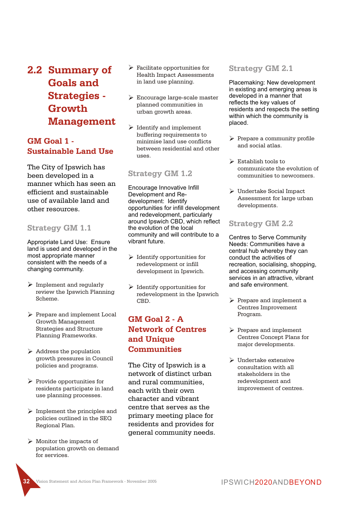**2.2 Summary of Goals and Strategies - Growth Management**

### **GM Goal 1 - Sustainable Land Use**

The City of Ipswich has been developed in a manner which has seen an efficient and sustainable use of available land and other resources.

#### **Strategy GM 1.1**

Appropriate Land Use: Ensure land is used and developed in the most appropriate manner consistent with the needs of a changing community.

- $\triangleright$  Implement and regularly review the Ipswich Planning Scheme.
- Ø Prepare and implement Local Growth Management Strategies and Structure Planning Frameworks.
- $\triangleright$  Address the population growth pressures in Council policies and programs.
- Ø Provide opportunities for residents participate in land use planning processes.
- $\triangleright$  Implement the principles and policies outlined in the SEQ Regional Plan.
- $\triangleright$  Monitor the impacts of population growth on demand for services.
- $\triangleright$  Facilitate opportunities for Health Impact Assessments in land use planning.
- Ø Encourage large-scale master planned communities in urban growth areas.
- $\triangleright$  Identify and implement buffering requirements to minimise land use conflicts between residential and other uses.

#### **Strategy GM 1.2**

Encourage Innovative Infill Development and Redevelopment: Identify opportunities for infill development and redevelopment, particularly around Ipswich CBD, which reflect the evolution of the local community and will contribute to a vibrant future.

- $\triangleright$  Identify opportunities for redevelopment or infill development in Ipswich.
- $\triangleright$  Identify opportunities for redevelopment in the Ipswich CBD.

# **GM Goal 2 - A Network of Centres and Unique Communities**

The City of Ipswich is a network of distinct urban and rural communities, each with their own character and vibrant centre that serves as the primary meeting place for residents and provides for general community needs.

#### **Strategy GM 2.1**

Placemaking: New development in existing and emerging areas is developed in a manner that reflects the key values of residents and respects the setting within which the community is placed.

- $\triangleright$  Prepare a community profile and social atlas.
- $\triangleright$  Establish tools to communicate the evolution of communities to newcomers.
- Ø Undertake Social Impact Assessment for large urban developments.

#### **Strategy GM 2.2**

Centres to Serve Community Needs: Communities have a central hub whereby they can conduct the activities of recreation, socialising, shopping, and accessing community services in an attractive, vibrant and safe environment.

- Ø Prepare and implement a Centres Improvement Program.
- Ø Prepare and implement Centres Concept Plans for major developments.
- $\triangleright$  Undertake extensive consultation with all stakeholders in the redevelopment and improvement of centres.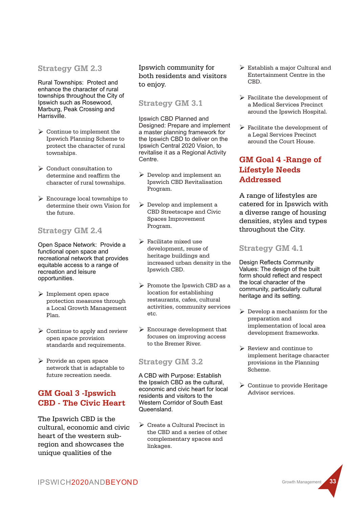#### **Strategy GM 2.3**

Rural Townships: Protect and enhance the character of rural townships throughout the City of Ipswich such as Rosewood, Marburg, Peak Crossing and Harrisville.

- $\triangleright$  Continue to implement the Ipswich Planning Scheme to protect the character of rural townships.
- Ø Conduct consultation to determine and reaffirm the character of rural townships.
- $\triangleright$  Encourage local townships to determine their own Vision for the future.

### **Strategy GM 2.4**

Open Space Network: Provide a functional open space and recreational network that provides equitable access to a range of recreation and leisure opportunities.

- $\triangleright$  Implement open space protection measures through a Local Growth Management Plan.
- $\triangleright$  Continue to apply and review open space provision standards and requirements.
- $\triangleright$  Provide an open space network that is adaptable to future recreation needs.

# **GM Goal 3 -Ipswich CBD - The Civic Heart**

The Ipswich CBD is the cultural, economic and civic heart of the western subregion and showcases the unique qualities of the

#### Ipswich community for both residents and visitors to enjoy.

### **Strategy GM 3.1**

Ipswich CBD Planned and Designed: Prepare and implement a master planning framework for the Ipswich CBD to deliver on the Ipswich Central 2020 Vision, to revitalise it as a Regional Activity Centre.

- Ø Develop and implement an Ipswich CBD Revitalisation Program.
- $\triangleright$  Develop and implement a CBD Streetscape and Civic Spaces Improvement Program.
- $\triangleright$  Facilitate mixed use development, reuse of heritage buildings and increased urban density in the Ipswich CBD.
- $\triangleright$  Promote the Ipswich CBD as a location for establishing restaurants, cafes, cultural activities, community services etc.
- $\triangleright$  Encourage development that focuses on improving access to the Bremer River.

### **Strategy GM 3.2**

A CBD with Purpose: Establish the Ipswich CBD as the cultural, economic and civic heart for local residents and visitors to the Western Corridor of South East Queensland.

 $\triangleright$  Create a Cultural Precinct in the CBD and a series of other complementary spaces and linkages.

- $\triangleright$  Establish a major Cultural and Entertainment Centre in the  $CRD$
- $\triangleright$  Facilitate the development of a Medical Services Precinct around the Ipswich Hospital.
- $\triangleright$  Facilitate the development of a Legal Services Precinct around the Court House.

# **GM Goal 4 -Range of Lifestyle Needs Addressed**

A range of lifestyles are catered for in Ipswich with a diverse range of housing densities, styles and types throughout the City.

#### **Strategy GM 4.1**

Design Reflects Community Values: The design of the built form should reflect and respect the local character of the community, particularly cultural heritage and its setting.

- $\triangleright$  Develop a mechanism for the preparation and implementation of local area development frameworks.
- $\triangleright$  Review and continue to implement heritage character provisions in the Planning Scheme.
- $\triangleright$  Continue to provide Heritage Advisor services.

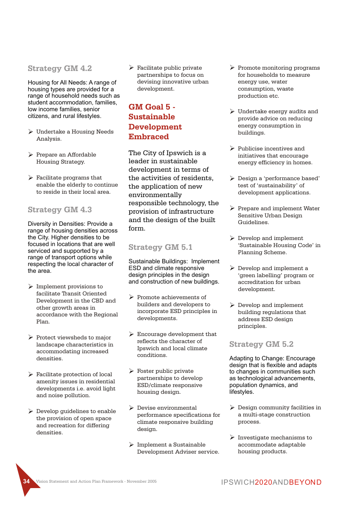#### **Strategy GM 4.2**

Housing for All Needs: A range of housing types are provided for a range of household needs such as student accommodation, families, low income families, senior citizens, and rural lifestyles.

- $\triangleright$  Undertake a Housing Needs Analysis.
- Ø Prepare an Affordable Housing Strategy.
- $\blacktriangleright$  Facilitate programs that enable the elderly to continue to reside in their local area.

#### **Strategy GM 4.3**

Diversity in Densities: Provide a range of housing densities across the City. Higher densities to be focused in locations that are well serviced and supported by a range of transport options while respecting the local character of the area.

- $\triangleright$  Implement provisions to facilitate Transit Oriented Development in the CBD and other growth areas in accordance with the Regional Plan.
- $\triangleright$  Protect viewsheds to major landscape characteristics in accommodating increased densities.
- $\triangleright$  Facilitate protection of local amenity issues in residential developments i.e. avoid light and noise pollution.
- $\triangleright$  Develop guidelines to enable the provision of open space and recreation for differing densities.

 $\triangleright$  Facilitate public private partnerships to focus on devising innovative urban development.

## **GM Goal 5 - Sustainable Development Embraced**

The City of Ipswich is a leader in sustainable development in terms of the activities of residents, the application of new environmentally responsible technology, the provision of infrastructure and the design of the built form.

#### **Strategy GM 5.1**

Sustainable Buildings: Implement ESD and climate responsive design principles in the design and construction of new buildings.

- Ø Promote achievements of builders and developers to incorporate ESD principles in developments.
- $\triangleright$  Encourage development that reflects the character of Ipswich and local climate conditions.
- $\triangleright$  Foster public private partnerships to develop ESD/climate responsive housing design.
- $\triangleright$  Devise environmental performance specifications for climate responsive building design.
- $\triangleright$  Implement a Sustainable Development Adviser service.
- $\triangleright$  Promote monitoring programs for households to measure energy use, water consumption, waste production etc.
- $\triangleright$  Undertake energy audits and provide advice on reducing energy consumption in buildings.
- $\triangleright$  Publicise incentives and initiatives that encourage energy efficiency in homes.
- Ø Design a 'performance based' test of 'sustainability' of development applications.
- Ø Prepare and implement Water Sensitive Urban Design Guidelines.
- $\triangleright$  Develop and implement 'Sustainable Housing Code' in Planning Scheme.
- $\triangleright$  Develop and implement a 'green labelling' program or accreditation for urban development.
- $\triangleright$  Develop and implement building regulations that address ESD design principles.

#### **Strategy GM 5.2**

Adapting to Change: Encourage design that is flexible and adapts to changes in communities such as technological advancements, population dynamics, and lifestyles.

- $\triangleright$  Design community facilities in a multi-stage construction process.
- $\triangleright$  Investigate mechanisms to accommodate adaptable housing products.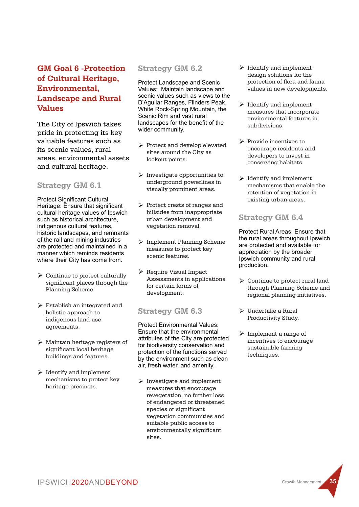# **GM Goal 6 -Protection of Cultural Heritage, Environmental, Landscape and Rural Values**

The City of Ipswich takes pride in protecting its key valuable features such as its scenic values, rural areas, environmental assets and cultural heritage.

### **Strategy GM 6.1**

**Protect Significant Cultural** Heritage: Ensure that significant cultural heritage values of Ipswich such as historical architecture, indigenous cultural features, historic landscapes, and remnants of the rail and mining industries are protected and maintained in a manner which reminds residents where their City has come from.

- $\triangleright$  Continue to protect culturally significant places through the Planning Scheme.
- $\triangleright$  Establish an integrated and holistic approach to indigenous land use agreements.
- $\triangleright$  Maintain heritage registers of significant local heritage buildings and features.
- $\triangleright$  Identify and implement mechanisms to protect key heritage precincts.

#### **Strategy GM 6.2**

Protect Landscape and Scenic Values: Maintain landscape and scenic values such as views to the D'Aguilar Ranges, Flinders Peak, White Rock-Spring Mountain, the Scenic Rim and vast rural landscapes for the benefit of the wider community.

- Ø Protect and develop elevated sites around the City as lookout points.
- $\triangleright$  Investigate opportunities to underground powerlines in visually prominent areas.
- Ø Protect crests of ranges and hillsides from inappropriate urban development and vegetation removal.
- Ø Implement Planning Scheme measures to protect key scenic features.
- Ø Require Visual Impact Assessments in applications for certain forms of development.

### **Strategy GM 6.3**

Protect Environmental Values: Ensure that the environmental attributes of the City are protected for biodiversity conservation and protection of the functions served by the environment such as clean air, fresh water, and amenity.

 $\triangleright$  Investigate and implement measures that encourage revegetation, no further loss of endangered or threatened species or significant vegetation communities and suitable public access to environmentally significant sites.

- $\triangleright$  Identify and implement design solutions for the protection of flora and fauna values in new developments.
- $\triangleright$  Identify and implement measures that incorporate environmental features in subdivisions.
- Ø Provide incentives to encourage residents and developers to invest in conserving habitats.
- $\blacktriangleright$  Identify and implement mechanisms that enable the retention of vegetation in existing urban areas.

### **Strategy GM 6.4**

Protect Rural Areas: Ensure that the rural areas throughout Ipswich are protected and available for appreciation by the broader Ipswich community and rural production.

- $\triangleright$  Continue to protect rural land through Planning Scheme and regional planning initiatives.
- $\triangleright$  Undertake a Rural Productivity Study.
- $\triangleright$  Implement a range of incentives to encourage sustainable farming techniques.